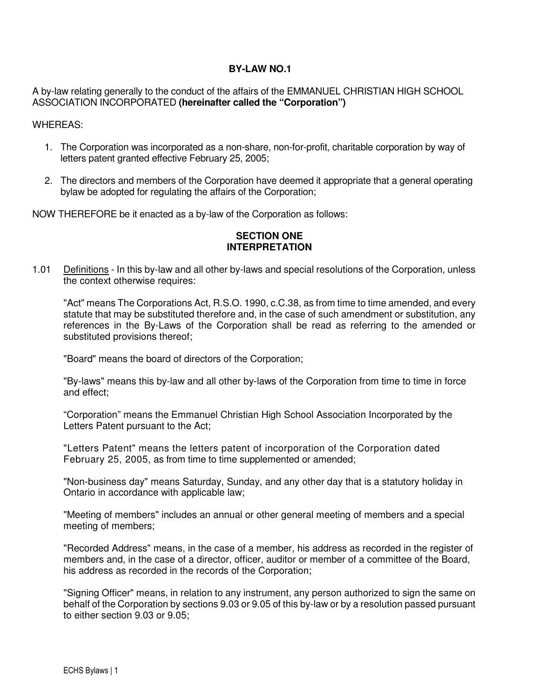#### **BY-LAW NO.1**

A by-law relating generally to the conduct of the affairs of the EMMANUEL CHRISTIAN HIGH SCHOOL ASSOCIATION INCORPORATED **(hereinafter called the "Corporation")**

#### WHEREAS:

- 1. The Corporation was incorporated as a non-share, non-for-profit, charitable corporation by way of letters patent granted effective February 25, 2005;
- 2. The directors and members of the Corporation have deemed it appropriate that a general operating bylaw be adopted for regulating the affairs of the Corporation;

NOW THEREFORE be it enacted as a by-law of the Corporation as follows:

### **SECTION ONE INTERPRETATION**

1.01 Definitions - In this by-law and all other by-laws and special resolutions of the Corporation, unless the context otherwise requires:

 "Act" means The Corporations Act, R.S.O. 1990, c.C.38, as from time to time amended, and every statute that may be substituted therefore and, in the case of such amendment or substitution, any references in the By-Laws of the Corporation shall be read as referring to the amended or substituted provisions thereof;

"Board" means the board of directors of the Corporation;

 "By-laws" means this by-law and all other by-laws of the Corporation from time to time in force and effect;

 "Corporation" means the Emmanuel Christian High School Association Incorporated by the Letters Patent pursuant to the Act;

 "Letters Patent" means the letters patent of incorporation of the Corporation dated February 25, 2005, as from time to time supplemented or amended;

 "Non-business day" means Saturday, Sunday, and any other day that is a statutory holiday in Ontario in accordance with applicable law;

 "Meeting of members" includes an annual or other general meeting of members and a special meeting of members;

 "Recorded Address" means, in the case of a member, his address as recorded in the register of members and, in the case of a director, officer, auditor or member of a committee of the Board, his address as recorded in the records of the Corporation;

 "Signing Officer" means, in relation to any instrument, any person authorized to sign the same on behalf of the Corporation by sections 9.03 or 9.05 of this by-law or by a resolution passed pursuant to either section 9.03 or 9.05;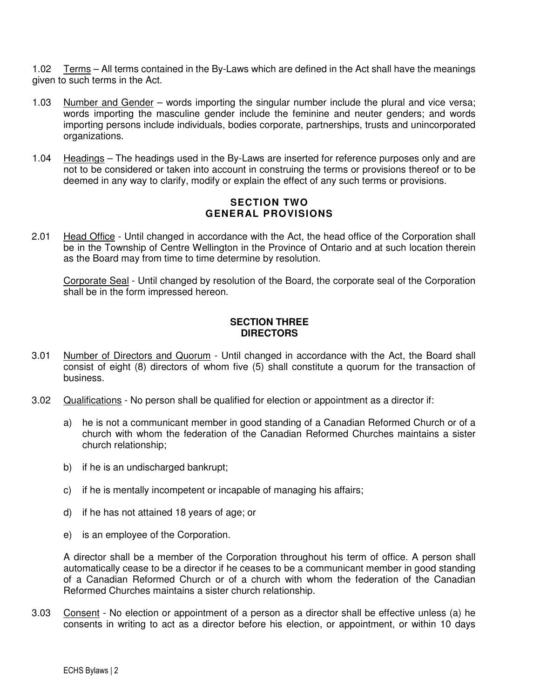1.02 Terms – All terms contained in the By-Laws which are defined in the Act shall have the meanings given to such terms in the Act.

- 1.03 Number and Gender words importing the singular number include the plural and vice versa; words importing the masculine gender include the feminine and neuter genders; and words importing persons include individuals, bodies corporate, partnerships, trusts and unincorporated organizations.
- 1.04 Headings The headings used in the By-Laws are inserted for reference purposes only and are not to be considered or taken into account in construing the terms or provisions thereof or to be deemed in any way to clarify, modify or explain the effect of any such terms or provisions.

### **SECTION TWO GENERAL PROVISIONS**

2.01 Head Office - Until changed in accordance with the Act, the head office of the Corporation shall be in the Township of Centre Wellington in the Province of Ontario and at such location therein as the Board may from time to time determine by resolution.

 Corporate Seal - Until changed by resolution of the Board, the corporate seal of the Corporation shall be in the form impressed hereon.

### **SECTION THREE DIRECTORS**

- 3.01 Number of Directors and Quorum Until changed in accordance with the Act, the Board shall consist of eight (8) directors of whom five (5) shall constitute a quorum for the transaction of business.
- 3.02 Qualifications No person shall be qualified for election or appointment as a director if:
	- a) he is not a communicant member in good standing of a Canadian Reformed Church or of a church with whom the federation of the Canadian Reformed Churches maintains a sister church relationship;
	- b) if he is an undischarged bankrupt;
	- c) if he is mentally incompetent or incapable of managing his affairs;
	- d) if he has not attained 18 years of age; or
	- e) is an employee of the Corporation.

A director shall be a member of the Corporation throughout his term of office. A person shall automatically cease to be a director if he ceases to be a communicant member in good standing of a Canadian Reformed Church or of a church with whom the federation of the Canadian Reformed Churches maintains a sister church relationship.

3.03 Consent - No election or appointment of a person as a director shall be effective unless (a) he consents in writing to act as a director before his election, or appointment, or within 10 days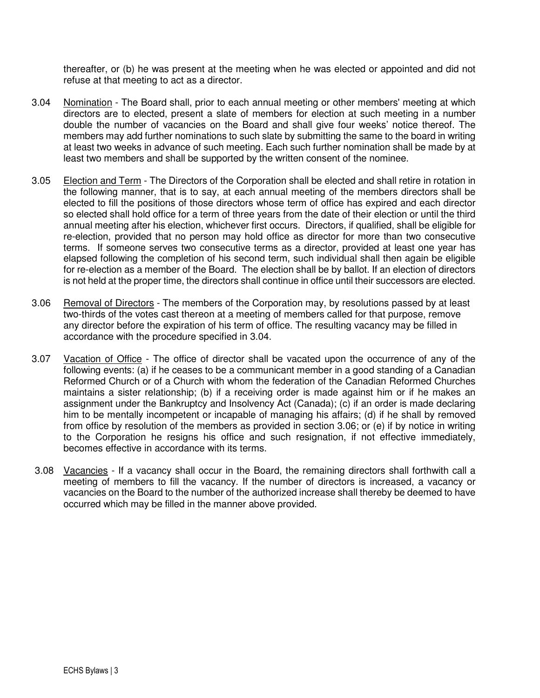thereafter, or (b) he was present at the meeting when he was elected or appointed and did not refuse at that meeting to act as a director.

- 3.04 Nomination The Board shall, prior to each annual meeting or other members' meeting at which directors are to elected, present a slate of members for election at such meeting in a number double the number of vacancies on the Board and shall give four weeks' notice thereof. The members may add further nominations to such slate by submitting the same to the board in writing at least two weeks in advance of such meeting. Each such further nomination shall be made by at least two members and shall be supported by the written consent of the nominee.
- 3.05 Election and Term The Directors of the Corporation shall be elected and shall retire in rotation in the following manner, that is to say, at each annual meeting of the members directors shall be elected to fill the positions of those directors whose term of office has expired and each director so elected shall hold office for a term of three years from the date of their election or until the third annual meeting after his election, whichever first occurs. Directors, if qualified, shall be eligible for re-election, provided that no person may hold office as director for more than two consecutive terms. If someone serves two consecutive terms as a director, provided at least one year has elapsed following the completion of his second term, such individual shall then again be eligible for re-election as a member of the Board. The election shall be by ballot. If an election of directors is not held at the proper time, the directors shall continue in office until their successors are elected.
- 3.06 Removal of Directors The members of the Corporation may, by resolutions passed by at least two-thirds of the votes cast thereon at a meeting of members called for that purpose, remove any director before the expiration of his term of office. The resulting vacancy may be filled in accordance with the procedure specified in 3.04.
- 3.07 Vacation of Office The office of director shall be vacated upon the occurrence of any of the following events: (a) if he ceases to be a communicant member in a good standing of a Canadian Reformed Church or of a Church with whom the federation of the Canadian Reformed Churches maintains a sister relationship; (b) if a receiving order is made against him or if he makes an assignment under the Bankruptcy and Insolvency Act (Canada); (c) if an order is made declaring him to be mentally incompetent or incapable of managing his affairs; (d) if he shall by removed from office by resolution of the members as provided in section 3.06; or (e) if by notice in writing to the Corporation he resigns his office and such resignation, if not effective immediately, becomes effective in accordance with its terms.
- 3.08 Vacancies If a vacancy shall occur in the Board, the remaining directors shall forthwith call a meeting of members to fill the vacancy. If the number of directors is increased, a vacancy or vacancies on the Board to the number of the authorized increase shall thereby be deemed to have occurred which may be filled in the manner above provided.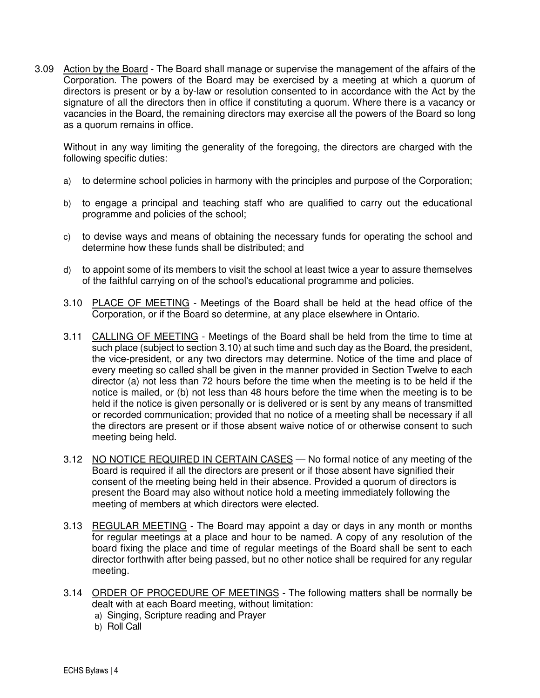3.09 Action by the Board - The Board shall manage or supervise the management of the affairs of the Corporation. The powers of the Board may be exercised by a meeting at which a quorum of directors is present or by a by-law or resolution consented to in accordance with the Act by the signature of all the directors then in office if constituting a quorum. Where there is a vacancy or vacancies in the Board, the remaining directors may exercise all the powers of the Board so long as a quorum remains in office.

Without in any way limiting the generality of the foregoing, the directors are charged with the following specific duties:

- a) to determine school policies in harmony with the principles and purpose of the Corporation;
- b) to engage a principal and teaching staff who are qualified to carry out the educational programme and policies of the school;
- c) to devise ways and means of obtaining the necessary funds for operating the school and determine how these funds shall be distributed; and
- d) to appoint some of its members to visit the school at least twice a year to assure themselves of the faithful carrying on of the school's educational programme and policies.
- 3.10 PLACE OF MEETING Meetings of the Board shall be held at the head office of the Corporation, or if the Board so determine, at any place elsewhere in Ontario.
- 3.11 CALLING OF MEETING Meetings of the Board shall be held from the time to time at such place (subject to section 3.10) at such time and such day as the Board, the president, the vice-president, or any two directors may determine. Notice of the time and place of every meeting so called shall be given in the manner provided in Section Twelve to each director (a) not less than 72 hours before the time when the meeting is to be held if the notice is mailed, or (b) not less than 48 hours before the time when the meeting is to be held if the notice is given personally or is delivered or is sent by any means of transmitted or recorded communication; provided that no notice of a meeting shall be necessary if all the directors are present or if those absent waive notice of or otherwise consent to such meeting being held.
- 3.12 NO NOTICE REQUIRED IN CERTAIN CASES No formal notice of any meeting of the Board is required if all the directors are present or if those absent have signified their consent of the meeting being held in their absence. Provided a quorum of directors is present the Board may also without notice hold a meeting immediately following the meeting of members at which directors were elected.
- 3.13 REGULAR MEETING The Board may appoint a day or days in any month or months for regular meetings at a place and hour to be named. A copy of any resolution of the board fixing the place and time of regular meetings of the Board shall be sent to each director forthwith after being passed, but no other notice shall be required for any regular meeting.
- 3.14 ORDER OF PROCEDURE OF MEETINGS The following matters shall be normally be dealt with at each Board meeting, without limitation:
	- a) Singing, Scripture reading and Prayer
	- b) Roll Call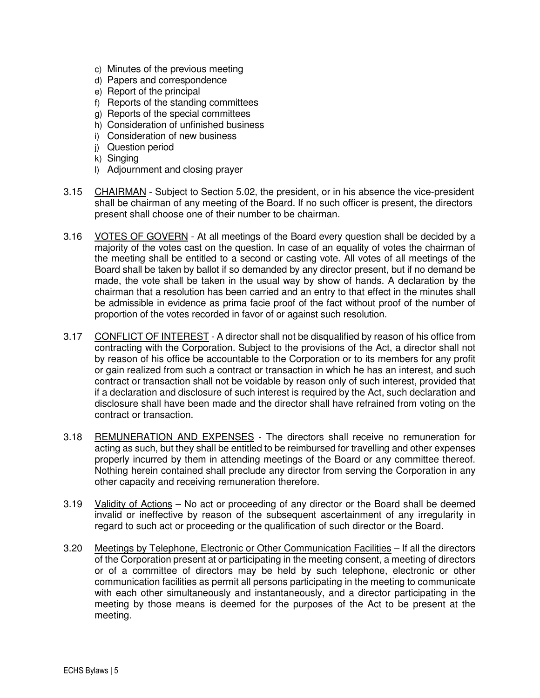- c) Minutes of the previous meeting
- d) Papers and correspondence
- e) Report of the principal
- f) Reports of the standing committees
- g) Reports of the special committees
- h) Consideration of unfinished business
- i) Consideration of new business
- j) Question period
- k) Singing
- l) Adjournment and closing prayer
- 3.15 CHAIRMAN Subject to Section 5.02, the president, or in his absence the vice-president shall be chairman of any meeting of the Board. If no such officer is present, the directors present shall choose one of their number to be chairman.
- 3.16 VOTES OF GOVERN At all meetings of the Board every question shall be decided by a majority of the votes cast on the question. In case of an equality of votes the chairman of the meeting shall be entitled to a second or casting vote. All votes of all meetings of the Board shall be taken by ballot if so demanded by any director present, but if no demand be made, the vote shall be taken in the usual way by show of hands. A declaration by the chairman that a resolution has been carried and an entry to that effect in the minutes shall be admissible in evidence as prima facie proof of the fact without proof of the number of proportion of the votes recorded in favor of or against such resolution.
- 3.17 CONFLICT OF INTEREST A director shall not be disqualified by reason of his office from contracting with the Corporation. Subject to the provisions of the Act, a director shall not by reason of his office be accountable to the Corporation or to its members for any profit or gain realized from such a contract or transaction in which he has an interest, and such contract or transaction shall not be voidable by reason only of such interest, provided that if a declaration and disclosure of such interest is required by the Act, such declaration and disclosure shall have been made and the director shall have refrained from voting on the contract or transaction.
- 3.18 REMUNERATION AND EXPENSES The directors shall receive no remuneration for acting as such, but they shall be entitled to be reimbursed for travelling and other expenses properly incurred by them in attending meetings of the Board or any committee thereof. Nothing herein contained shall preclude any director from serving the Corporation in any other capacity and receiving remuneration therefore.
- 3.19 Validity of Actions No act or proceeding of any director or the Board shall be deemed invalid or ineffective by reason of the subsequent ascertainment of any irregularity in regard to such act or proceeding or the qualification of such director or the Board.
- 3.20 Meetings by Telephone, Electronic or Other Communication Facilities If all the directors of the Corporation present at or participating in the meeting consent, a meeting of directors or of a committee of directors may be held by such telephone, electronic or other communication facilities as permit all persons participating in the meeting to communicate with each other simultaneously and instantaneously, and a director participating in the meeting by those means is deemed for the purposes of the Act to be present at the meeting.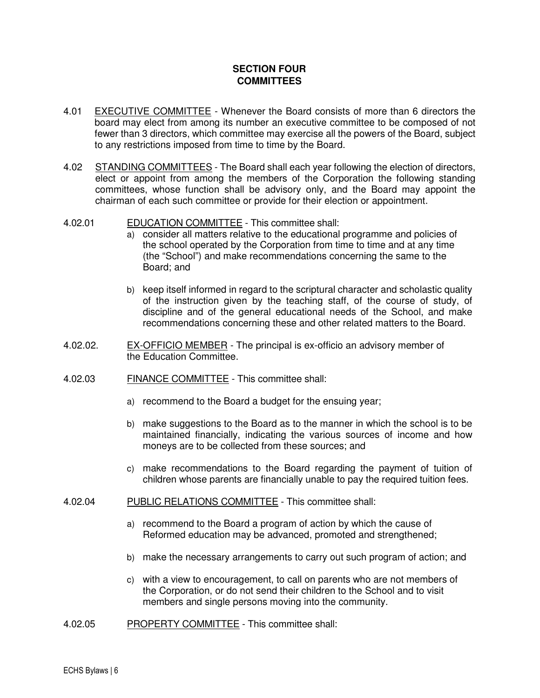# **SECTION FOUR COMMITTEES**

- 4.01 EXECUTIVE COMMITTEE Whenever the Board consists of more than 6 directors the board may elect from among its number an executive committee to be composed of not fewer than 3 directors, which committee may exercise all the powers of the Board, subject to any restrictions imposed from time to time by the Board.
- 4.02 STANDING COMMITTEES The Board shall each year following the election of directors, elect or appoint from among the members of the Corporation the following standing committees, whose function shall be advisory only, and the Board may appoint the chairman of each such committee or provide for their election or appointment.
- 4.02.01 EDUCATION COMMITTEE This committee shall:
	- a) consider all matters relative to the educational programme and policies of the school operated by the Corporation from time to time and at any time (the "School") and make recommendations concerning the same to the Board; and
	- b) keep itself informed in regard to the scriptural character and scholastic quality of the instruction given by the teaching staff, of the course of study, of discipline and of the general educational needs of the School, and make recommendations concerning these and other related matters to the Board.
- 4.02.02. EX-OFFICIO MEMBER The principal is ex-officio an advisory member of the Education Committee.
- 4.02.03 FINANCE COMMITTEE This committee shall:
	- a) recommend to the Board a budget for the ensuing year;
	- b) make suggestions to the Board as to the manner in which the school is to be maintained financially, indicating the various sources of income and how moneys are to be collected from these sources; and
	- c) make recommendations to the Board regarding the payment of tuition of children whose parents are financially unable to pay the required tuition fees.
- 4.02.04 PUBLIC RELATIONS COMMITTEE This committee shall:
	- a) recommend to the Board a program of action by which the cause of Reformed education may be advanced, promoted and strengthened;
	- b) make the necessary arrangements to carry out such program of action; and
	- c) with a view to encouragement, to call on parents who are not members of the Corporation, or do not send their children to the School and to visit members and single persons moving into the community.
- 4.02.05 PROPERTY COMMITTEE This committee shall: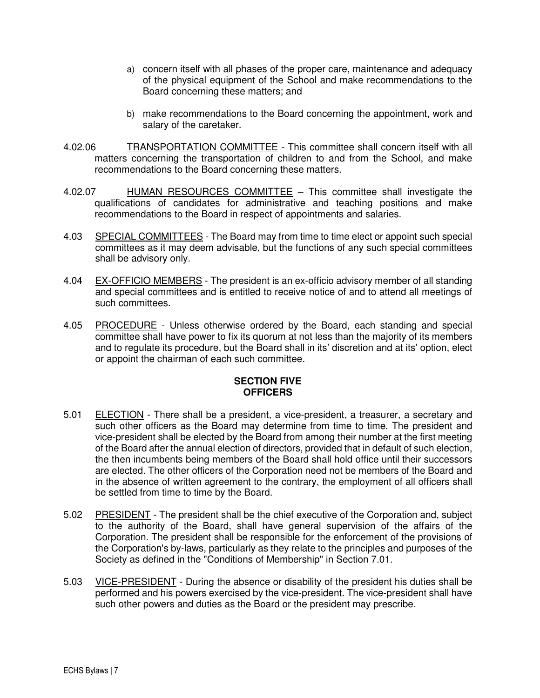- a) concern itself with all phases of the proper care, maintenance and adequacy of the physical equipment of the School and make recommendations to the Board concerning these matters; and
- b) make recommendations to the Board concerning the appointment, work and salary of the caretaker.
- 4.02.06 TRANSPORTATION COMMITTEE This committee shall concern itself with all matters concerning the transportation of children to and from the School, and make recommendations to the Board concerning these matters.
- 4.02.07 **HUMAN RESOURCES COMMITTEE** This committee shall investigate the qualifications of candidates for administrative and teaching positions and make recommendations to the Board in respect of appointments and salaries.
- 4.03 SPECIAL COMMITTEES The Board may from time to time elect or appoint such special committees as it may deem advisable, but the functions of any such special committees shall be advisory only.
- 4.04 EX-OFFICIO MEMBERS The president is an ex-officio advisory member of all standing and special committees and is entitled to receive notice of and to attend all meetings of such committees.
- 4.05 PROCEDURE Unless otherwise ordered by the Board, each standing and special committee shall have power to fix its quorum at not less than the majority of its members and to regulate its procedure, but the Board shall in its' discretion and at its' option, elect or appoint the chairman of each such committee.

# **SECTION FIVE OFFICERS**

- 5.01 ELECTION There shall be a president, a vice-president, a treasurer, a secretary and such other officers as the Board may determine from time to time. The president and vice-president shall be elected by the Board from among their number at the first meeting of the Board after the annual election of directors, provided that in default of such election, the then incumbents being members of the Board shall hold office until their successors are elected. The other officers of the Corporation need not be members of the Board and in the absence of written agreement to the contrary, the employment of all officers shall be settled from time to time by the Board.
- 5.02 PRESIDENT The president shall be the chief executive of the Corporation and, subject to the authority of the Board, shall have general supervision of the affairs of the Corporation. The president shall be responsible for the enforcement of the provisions of the Corporation's by-laws, particularly as they relate to the principles and purposes of the Society as defined in the "Conditions of Membership" in Section 7.01.
- 5.03 VICE-PRESIDENT During the absence or disability of the president his duties shall be performed and his powers exercised by the vice-president. The vice-president shall have such other powers and duties as the Board or the president may prescribe.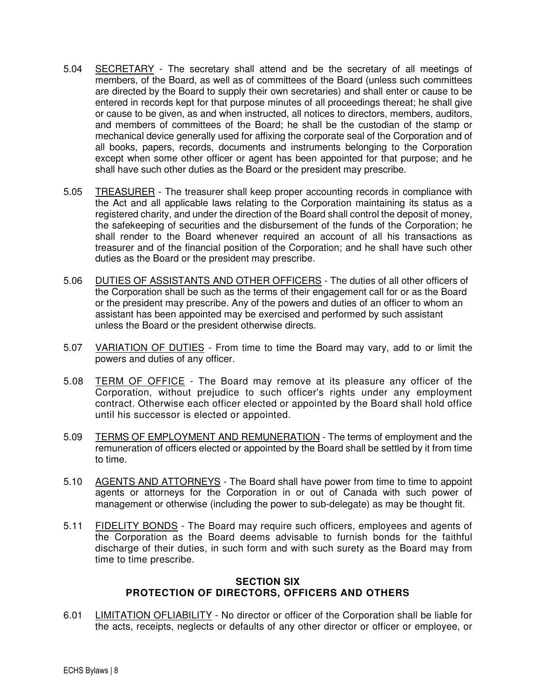- 5.04 SECRETARY The secretary shall attend and be the secretary of all meetings of members, of the Board, as well as of committees of the Board (unless such committees are directed by the Board to supply their own secretaries) and shall enter or cause to be entered in records kept for that purpose minutes of all proceedings thereat; he shall give or cause to be given, as and when instructed, all notices to directors, members, auditors, and members of committees of the Board; he shall be the custodian of the stamp or mechanical device generally used for affixing the corporate seal of the Corporation and of all books, papers, records, documents and instruments belonging to the Corporation except when some other officer or agent has been appointed for that purpose; and he shall have such other duties as the Board or the president may prescribe.
- 5.05 TREASURER The treasurer shall keep proper accounting records in compliance with the Act and all applicable laws relating to the Corporation maintaining its status as a registered charity, and under the direction of the Board shall control the deposit of money, the safekeeping of securities and the disbursement of the funds of the Corporation; he shall render to the Board whenever required an account of all his transactions as treasurer and of the financial position of the Corporation; and he shall have such other duties as the Board or the president may prescribe.
- 5.06 DUTIES OF ASSISTANTS AND OTHER OFFICERS The duties of all other officers of the Corporation shall be such as the terms of their engagement call for or as the Board or the president may prescribe. Any of the powers and duties of an officer to whom an assistant has been appointed may be exercised and performed by such assistant unless the Board or the president otherwise directs.
- 5.07 VARIATION OF DUTIES From time to time the Board may vary, add to or limit the powers and duties of any officer.
- 5.08 TERM OF OFFICE The Board may remove at its pleasure any officer of the Corporation, without prejudice to such officer's rights under any employment contract. Otherwise each officer elected or appointed by the Board shall hold office until his successor is elected or appointed.
- 5.09 TERMS OF EMPLOYMENT AND REMUNERATION The terms of employment and the remuneration of officers elected or appointed by the Board shall be settled by it from time to time.
- 5.10 AGENTS AND ATTORNEYS The Board shall have power from time to time to appoint agents or attorneys for the Corporation in or out of Canada with such power of management or otherwise (including the power to sub-delegate) as may be thought fit.
- 5.11 FIDELITY BONDS The Board may require such officers, employees and agents of the Corporation as the Board deems advisable to furnish bonds for the faithful discharge of their duties, in such form and with such surety as the Board may from time to time prescribe.

### **SECTION SIX PROTECTION OF DIRECTORS, OFFICERS AND OTHERS**

6.01 LIMITATION OFLIABILITY - No director or officer of the Corporation shall be liable for the acts, receipts, neglects or defaults of any other director or officer or employee, or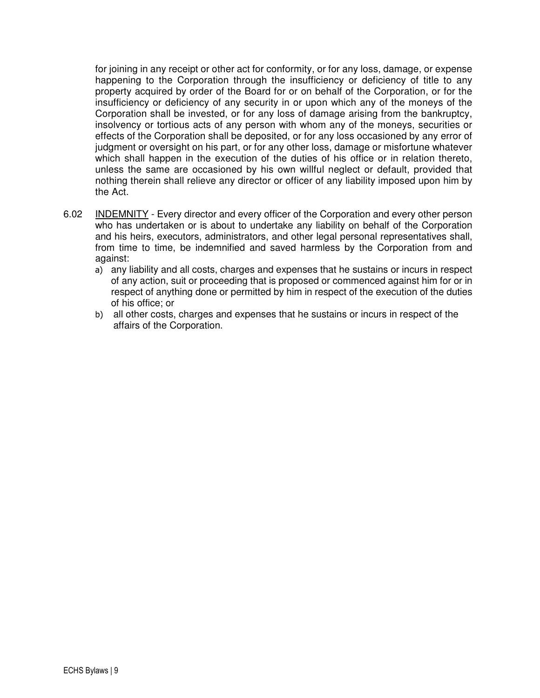for joining in any receipt or other act for conformity, or for any loss, damage, or expense happening to the Corporation through the insufficiency or deficiency of title to any property acquired by order of the Board for or on behalf of the Corporation, or for the insufficiency or deficiency of any security in or upon which any of the moneys of the Corporation shall be invested, or for any loss of damage arising from the bankruptcy, insolvency or tortious acts of any person with whom any of the moneys, securities or effects of the Corporation shall be deposited, or for any loss occasioned by any error of judgment or oversight on his part, or for any other loss, damage or misfortune whatever which shall happen in the execution of the duties of his office or in relation thereto, unless the same are occasioned by his own willful neglect or default, provided that nothing therein shall relieve any director or officer of any liability imposed upon him by the Act.

- 6.02 INDEMNITY Every director and every officer of the Corporation and every other person who has undertaken or is about to undertake any liability on behalf of the Corporation and his heirs, executors, administrators, and other legal personal representatives shall, from time to time, be indemnified and saved harmless by the Corporation from and against:
	- a) any liability and all costs, charges and expenses that he sustains or incurs in respect of any action, suit or proceeding that is proposed or commenced against him for or in respect of anything done or permitted by him in respect of the execution of the duties of his office; or
	- b) all other costs, charges and expenses that he sustains or incurs in respect of the affairs of the Corporation.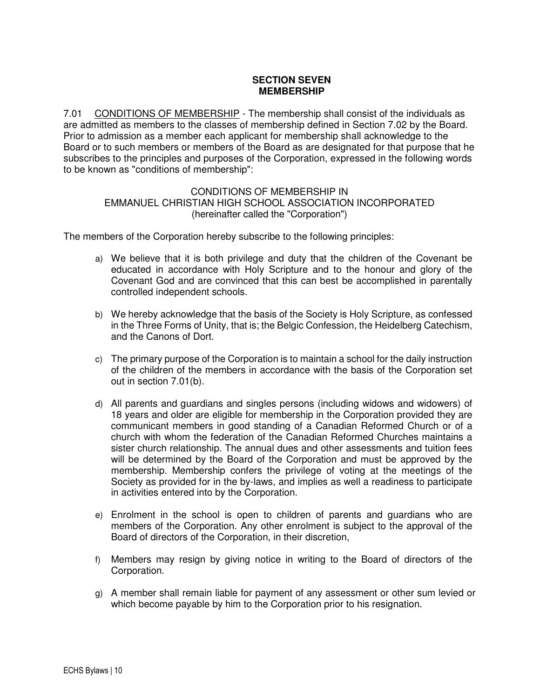## **SECTION SEVEN MEMBERSHIP**

7.01 CONDITIONS OF MEMBERSHIP - The membership shall consist of the individuals as are admitted as members to the classes of membership defined in Section 7.02 by the Board. Prior to admission as a member each applicant for membership shall acknowledge to the Board or to such members or members of the Board as are designated for that purpose that he subscribes to the principles and purposes of the Corporation, expressed in the following words to be known as "conditions of membership":

### CONDITIONS OF MEMBERSHIP IN EMMANUEL CHRISTIAN HIGH SCHOOL ASSOCIATION INCORPORATED (hereinafter called the "Corporation")

The members of the Corporation hereby subscribe to the following principles:

- a) We believe that it is both privilege and duty that the children of the Covenant be educated in accordance with Holy Scripture and to the honour and glory of the Covenant God and are convinced that this can best be accomplished in parentally controlled independent schools.
- b) We hereby acknowledge that the basis of the Society is Holy Scripture, as confessed in the Three Forms of Unity, that is; the Belgic Confession, the Heidelberg Catechism, and the Canons of Dort.
- c) The primary purpose of the Corporation is to maintain a school for the daily instruction of the children of the members in accordance with the basis of the Corporation set out in section 7.01(b).
- d) All parents and guardians and singles persons (including widows and widowers) of 18 years and older are eligible for membership in the Corporation provided they are communicant members in good standing of a Canadian Reformed Church or of a church with whom the federation of the Canadian Reformed Churches maintains a sister church relationship. The annual dues and other assessments and tuition fees will be determined by the Board of the Corporation and must be approved by the membership. Membership confers the privilege of voting at the meetings of the Society as provided for in the by-laws, and implies as well a readiness to participate in activities entered into by the Corporation.
- e) Enrolment in the school is open to children of parents and guardians who are members of the Corporation. Any other enrolment is subject to the approval of the Board of directors of the Corporation, in their discretion,
- f) Members may resign by giving notice in writing to the Board of directors of the Corporation.
- g) A member shall remain liable for payment of any assessment or other sum levied or which become payable by him to the Corporation prior to his resignation.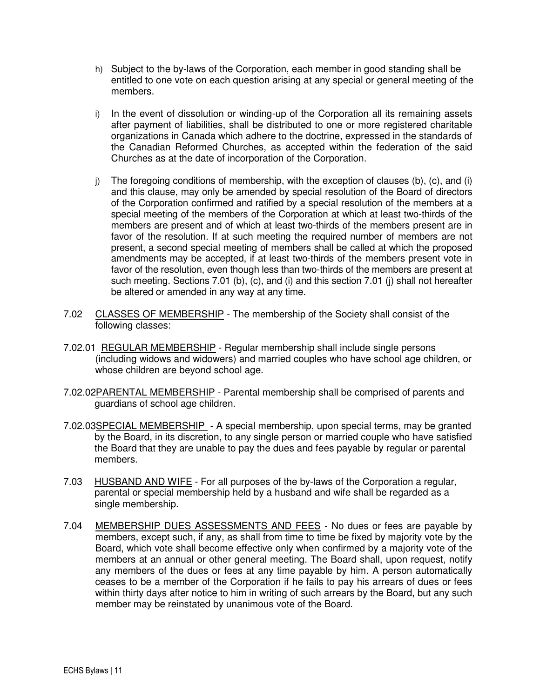- h) Subject to the by-laws of the Corporation, each member in good standing shall be entitled to one vote on each question arising at any special or general meeting of the members.
- i) In the event of dissolution or winding-up of the Corporation all its remaining assets after payment of liabilities, shall be distributed to one or more registered charitable organizations in Canada which adhere to the doctrine, expressed in the standards of the Canadian Reformed Churches, as accepted within the federation of the said Churches as at the date of incorporation of the Corporation.
- j) The foregoing conditions of membership, with the exception of clauses (b), (c), and (i) and this clause, may only be amended by special resolution of the Board of directors of the Corporation confirmed and ratified by a special resolution of the members at a special meeting of the members of the Corporation at which at least two-thirds of the members are present and of which at least two-thirds of the members present are in favor of the resolution. If at such meeting the required number of members are not present, a second special meeting of members shall be called at which the proposed amendments may be accepted, if at least two-thirds of the members present vote in favor of the resolution, even though less than two-thirds of the members are present at such meeting. Sections 7.01 (b), (c), and (i) and this section 7.01 (j) shall not hereafter be altered or amended in any way at any time.
- 7.02 CLASSES OF MEMBERSHIP The membership of the Society shall consist of the following classes:
- 7.02.01 REGULAR MEMBERSHIP Regular membership shall include single persons (including widows and widowers) and married couples who have school age children, or whose children are beyond school age.
- 7.02.02PARENTAL MEMBERSHIP Parental membership shall be comprised of parents and guardians of school age children.
- 7.02.03SPECIAL MEMBERSHIP A special membership, upon special terms, may be granted by the Board, in its discretion, to any single person or married couple who have satisfied the Board that they are unable to pay the dues and fees payable by regular or parental members.
- 7.03 HUSBAND AND WIFE For all purposes of the by-laws of the Corporation a regular, parental or special membership held by a husband and wife shall be regarded as a single membership.
- 7.04 MEMBERSHIP DUES ASSESSMENTS AND FEES No dues or fees are payable by members, except such, if any, as shall from time to time be fixed by majority vote by the Board, which vote shall become effective only when confirmed by a majority vote of the members at an annual or other general meeting. The Board shall, upon request, notify any members of the dues or fees at any time payable by him. A person automatically ceases to be a member of the Corporation if he fails to pay his arrears of dues or fees within thirty days after notice to him in writing of such arrears by the Board, but any such member may be reinstated by unanimous vote of the Board.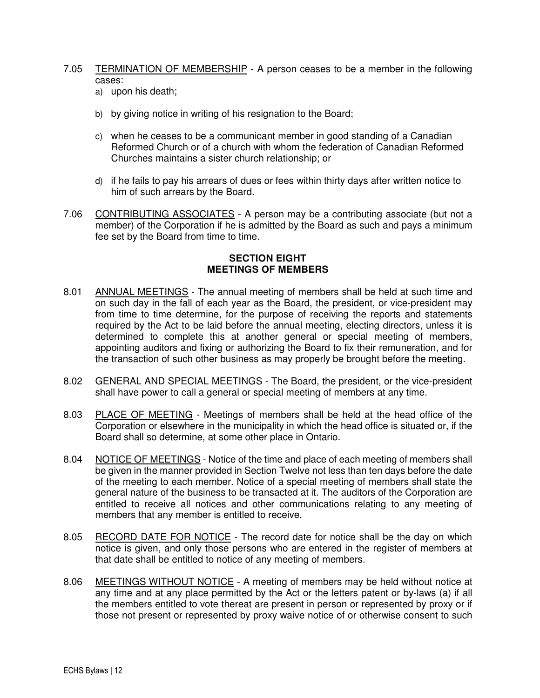- 7.05 TERMINATION OF MEMBERSHIP A person ceases to be a member in the following cases:
	- a) upon his death;
	- b) by giving notice in writing of his resignation to the Board;
	- c) when he ceases to be a communicant member in good standing of a Canadian Reformed Church or of a church with whom the federation of Canadian Reformed Churches maintains a sister church relationship; or
	- d) if he fails to pay his arrears of dues or fees within thirty days after written notice to him of such arrears by the Board.
- 7.06 CONTRIBUTING ASSOCIATES A person may be a contributing associate (but not a member) of the Corporation if he is admitted by the Board as such and pays a minimum fee set by the Board from time to time.

### **SECTION EIGHT MEETINGS OF MEMBERS**

- 8.01 ANNUAL MEETINGS The annual meeting of members shall be held at such time and on such day in the fall of each year as the Board, the president, or vice-president may from time to time determine, for the purpose of receiving the reports and statements required by the Act to be laid before the annual meeting, electing directors, unless it is determined to complete this at another general or special meeting of members, appointing auditors and fixing or authorizing the Board to fix their remuneration, and for the transaction of such other business as may properly be brought before the meeting.
- 8.02 GENERAL AND SPECIAL MEETINGS The Board, the president, or the vice-president shall have power to call a general or special meeting of members at any time.
- 8.03 PLACE OF MEETING Meetings of members shall be held at the head office of the Corporation or elsewhere in the municipality in which the head office is situated or, if the Board shall so determine, at some other place in Ontario.
- 8.04 NOTICE OF MEETINGS Notice of the time and place of each meeting of members shall be given in the manner provided in Section Twelve not less than ten days before the date of the meeting to each member. Notice of a special meeting of members shall state the general nature of the business to be transacted at it. The auditors of the Corporation are entitled to receive all notices and other communications relating to any meeting of members that any member is entitled to receive.
- 8.05 RECORD DATE FOR NOTICE The record date for notice shall be the day on which notice is given, and only those persons who are entered in the register of members at that date shall be entitled to notice of any meeting of members.
- 8.06 MEETINGS WITHOUT NOTICE A meeting of members may be held without notice at any time and at any place permitted by the Act or the letters patent or by-laws (a) if all the members entitled to vote thereat are present in person or represented by proxy or if those not present or represented by proxy waive notice of or otherwise consent to such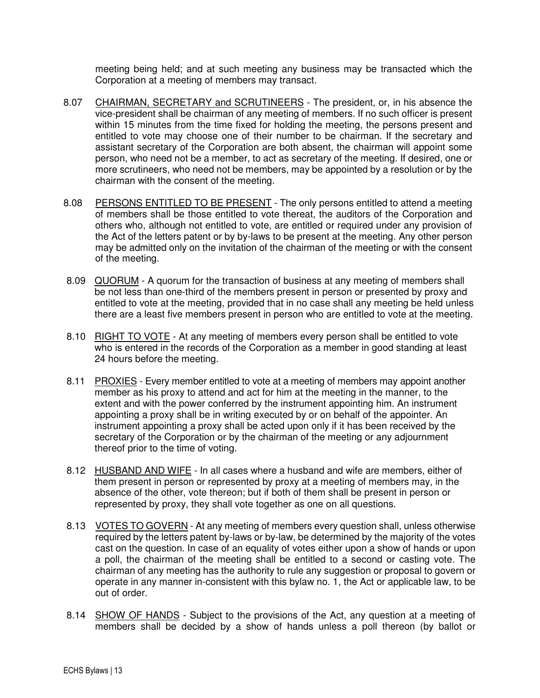meeting being held; and at such meeting any business may be transacted which the Corporation at a meeting of members may transact.

- 8.07 CHAIRMAN, SECRETARY and SCRUTINEERS The president, or, in his absence the vice-president shall be chairman of any meeting of members. If no such officer is present within 15 minutes from the time fixed for holding the meeting, the persons present and entitled to vote may choose one of their number to be chairman. If the secretary and assistant secretary of the Corporation are both absent, the chairman will appoint some person, who need not be a member, to act as secretary of the meeting. If desired, one or more scrutineers, who need not be members, may be appointed by a resolution or by the chairman with the consent of the meeting.
- 8.08 PERSONS ENTITLED TO BE PRESENT The only persons entitled to attend a meeting of members shall be those entitled to vote thereat, the auditors of the Corporation and others who, although not entitled to vote, are entitled or required under any provision of the Act of the letters patent or by by-laws to be present at the meeting. Any other person may be admitted only on the invitation of the chairman of the meeting or with the consent of the meeting.
- 8.09 QUORUM A quorum for the transaction of business at any meeting of members shall be not less than one-third of the members present in person or presented by proxy and entitled to vote at the meeting, provided that in no case shall any meeting be held unless there are a least five members present in person who are entitled to vote at the meeting.
- 8.10 RIGHT TO VOTE At any meeting of members every person shall be entitled to vote who is entered in the records of the Corporation as a member in good standing at least 24 hours before the meeting.
- 8.11 PROXIES Every member entitled to vote at a meeting of members may appoint another member as his proxy to attend and act for him at the meeting in the manner, to the extent and with the power conferred by the instrument appointing him. An instrument appointing a proxy shall be in writing executed by or on behalf of the appointer. An instrument appointing a proxy shall be acted upon only if it has been received by the secretary of the Corporation or by the chairman of the meeting or any adjournment thereof prior to the time of voting.
- 8.12 HUSBAND AND WIFE In all cases where a husband and wife are members, either of them present in person or represented by proxy at a meeting of members may, in the absence of the other, vote thereon; but if both of them shall be present in person or represented by proxy, they shall vote together as one on all questions.
- 8.13 VOTES TO GOVERN At any meeting of members every question shall, unless otherwise required by the letters patent by-laws or by-law, be determined by the majority of the votes cast on the question. In case of an equality of votes either upon a show of hands or upon a poll, the chairman of the meeting shall be entitled to a second or casting vote. The chairman of any meeting has the authority to rule any suggestion or proposal to govern or operate in any manner in-consistent with this bylaw no. 1, the Act or applicable law, to be out of order.
- 8.14 SHOW OF HANDS Subject to the provisions of the Act, any question at a meeting of members shall be decided by a show of hands unless a poll thereon (by ballot or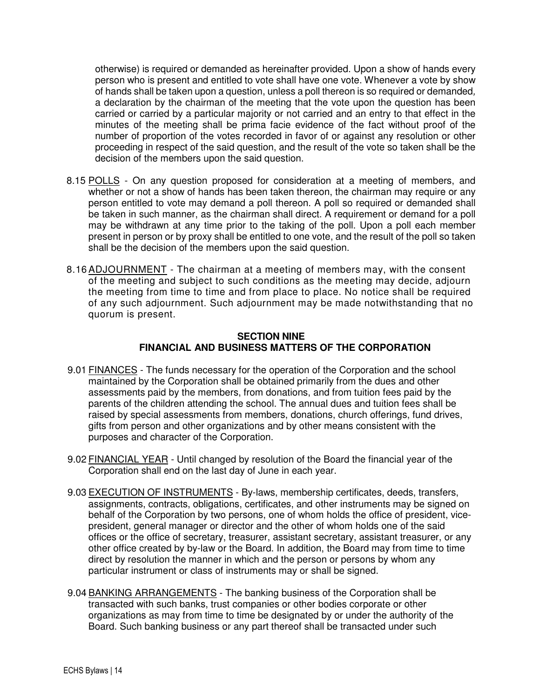otherwise) is required or demanded as hereinafter provided. Upon a show of hands every person who is present and entitled to vote shall have one vote. Whenever a vote by show of hands shall be taken upon a question, unless a poll thereon is so required or demanded, a declaration by the chairman of the meeting that the vote upon the question has been carried or carried by a particular majority or not carried and an entry to that effect in the minutes of the meeting shall be prima facie evidence of the fact without proof of the number of proportion of the votes recorded in favor of or against any resolution or other proceeding in respect of the said question, and the result of the vote so taken shall be the decision of the members upon the said question.

- 8.15 POLLS On any question proposed for consideration at a meeting of members, and whether or not a show of hands has been taken thereon, the chairman may require or any person entitled to vote may demand a poll thereon. A poll so required or demanded shall be taken in such manner, as the chairman shall direct. A requirement or demand for a poll may be withdrawn at any time prior to the taking of the poll. Upon a poll each member present in person or by proxy shall be entitled to one vote, and the result of the poll so taken shall be the decision of the members upon the said question.
- 8.16 ADJOURNMENT The chairman at a meeting of members may, with the consent of the meeting and subject to such conditions as the meeting may decide, adjourn the meeting from time to time and from place to place. No notice shall be required of any such adjournment. Such adjournment may be made notwithstanding that no quorum is present.

### **SECTION NINE FINANCIAL AND BUSINESS MATTERS OF THE CORPORATION**

- 9.01 FINANCES The funds necessary for the operation of the Corporation and the school maintained by the Corporation shall be obtained primarily from the dues and other assessments paid by the members, from donations, and from tuition fees paid by the parents of the children attending the school. The annual dues and tuition fees shall be raised by special assessments from members, donations, church offerings, fund drives, gifts from person and other organizations and by other means consistent with the purposes and character of the Corporation.
- 9.02 FINANCIAL YEAR Until changed by resolution of the Board the financial year of the Corporation shall end on the last day of June in each year.
- 9.03 EXECUTION OF INSTRUMENTS By-laws, membership certificates, deeds, transfers, assignments, contracts, obligations, certificates, and other instruments may be signed on behalf of the Corporation by two persons, one of whom holds the office of president, vicepresident, general manager or director and the other of whom holds one of the said offices or the office of secretary, treasurer, assistant secretary, assistant treasurer, or any other office created by by-law or the Board. In addition, the Board may from time to time direct by resolution the manner in which and the person or persons by whom any particular instrument or class of instruments may or shall be signed.
- 9.04 BANKING ARRANGEMENTS The banking business of the Corporation shall be transacted with such banks, trust companies or other bodies corporate or other organizations as may from time to time be designated by or under the authority of the Board. Such banking business or any part thereof shall be transacted under such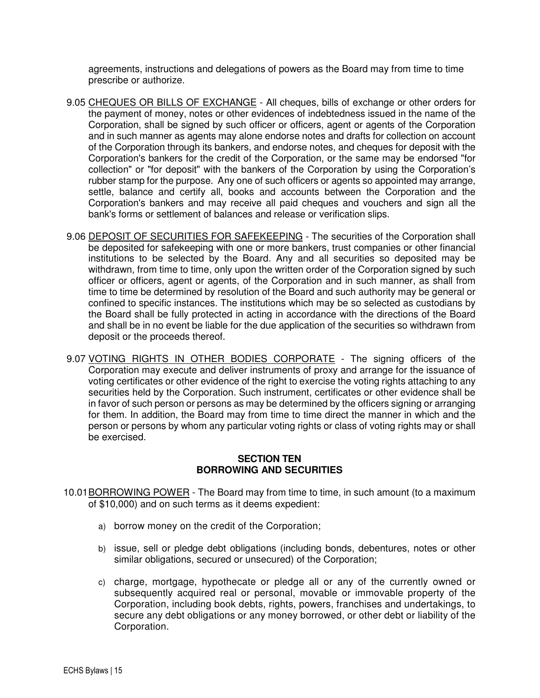agreements, instructions and delegations of powers as the Board may from time to time prescribe or authorize.

- 9.05 CHEQUES OR BILLS OF EXCHANGE All cheques, bills of exchange or other orders for the payment of money, notes or other evidences of indebtedness issued in the name of the Corporation, shall be signed by such officer or officers, agent or agents of the Corporation and in such manner as agents may alone endorse notes and drafts for collection on account of the Corporation through its bankers, and endorse notes, and cheques for deposit with the Corporation's bankers for the credit of the Corporation, or the same may be endorsed "for collection" or "for deposit" with the bankers of the Corporation by using the Corporation's rubber stamp for the purpose. Any one of such officers or agents so appointed may arrange, settle, balance and certify all, books and accounts between the Corporation and the Corporation's bankers and may receive all paid cheques and vouchers and sign all the bank's forms or settlement of balances and release or verification slips.
- 9.06 DEPOSIT OF SECURITIES FOR SAFEKEEPING The securities of the Corporation shall be deposited for safekeeping with one or more bankers, trust companies or other financial institutions to be selected by the Board. Any and all securities so deposited may be withdrawn, from time to time, only upon the written order of the Corporation signed by such officer or officers, agent or agents, of the Corporation and in such manner, as shall from time to time be determined by resolution of the Board and such authority may be general or confined to specific instances. The institutions which may be so selected as custodians by the Board shall be fully protected in acting in accordance with the directions of the Board and shall be in no event be liable for the due application of the securities so withdrawn from deposit or the proceeds thereof.
- 9.07 VOTING RIGHTS IN OTHER BODIES CORPORATE The signing officers of the Corporation may execute and deliver instruments of proxy and arrange for the issuance of voting certificates or other evidence of the right to exercise the voting rights attaching to any securities held by the Corporation. Such instrument, certificates or other evidence shall be in favor of such person or persons as may be determined by the officers signing or arranging for them. In addition, the Board may from time to time direct the manner in which and the person or persons by whom any particular voting rights or class of voting rights may or shall be exercised.

### **SECTION TEN BORROWING AND SECURITIES**

- 10.01 BORROWING POWER The Board may from time to time, in such amount (to a maximum of \$10,000) and on such terms as it deems expedient:
	- a) borrow money on the credit of the Corporation;
	- b) issue, sell or pledge debt obligations (including bonds, debentures, notes or other similar obligations, secured or unsecured) of the Corporation;
	- c) charge, mortgage, hypothecate or pledge all or any of the currently owned or subsequently acquired real or personal, movable or immovable property of the Corporation, including book debts, rights, powers, franchises and undertakings, to secure any debt obligations or any money borrowed, or other debt or liability of the Corporation.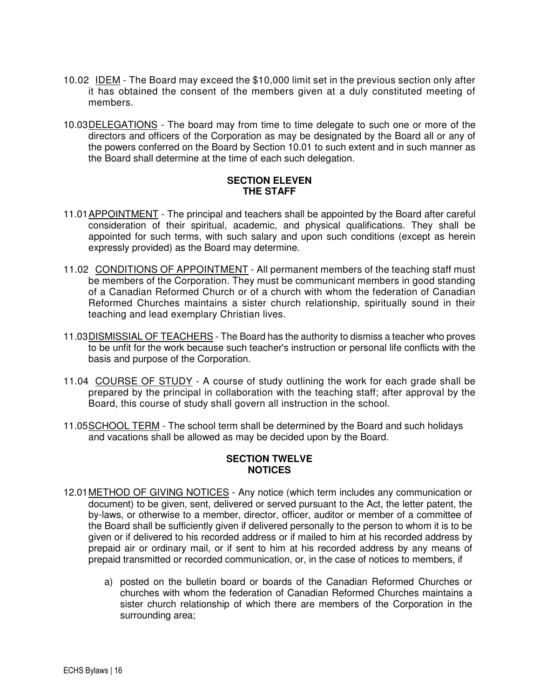- 10.02 IDEM The Board may exceed the \$10,000 limit set in the previous section only after it has obtained the consent of the members given at a duly constituted meeting of members.
- 10.03 DELEGATIONS The board may from time to time delegate to such one or more of the directors and officers of the Corporation as may be designated by the Board all or any of the powers conferred on the Board by Section 10.01 to such extent and in such manner as the Board shall determine at the time of each such delegation.

### **SECTION ELEVEN THE STAFF**

- 11.01 APPOINTMENT The principal and teachers shall be appointed by the Board after careful consideration of their spiritual, academic, and physical qualifications. They shall be appointed for such terms, with such salary and upon such conditions (except as herein expressly provided) as the Board may determine.
- 11.02 CONDITIONS OF APPOINTMENT All permanent members of the teaching staff must be members of the Corporation. They must be communicant members in good standing of a Canadian Reformed Church or of a church with whom the federation of Canadian Reformed Churches maintains a sister church relationship, spiritually sound in their teaching and lead exemplary Christian lives.
- 11.03 DISMISSIAL OF TEACHERS The Board has the authority to dismiss a teacher who proves to be unfit for the work because such teacher's instruction or personal life conflicts with the basis and purpose of the Corporation.
- 11.04 COURSE OF STUDY A course of study outlining the work for each grade shall be prepared by the principal in collaboration with the teaching staff; after approval by the Board, this course of study shall govern all instruction in the school.
- 11.05 SCHOOL TERM The school term shall be determined by the Board and such holidays and vacations shall be allowed as may be decided upon by the Board.

### **SECTION TWELVE NOTICES**

- 12.01 METHOD OF GIVING NOTICES Any notice (which term includes any communication or document) to be given, sent, delivered or served pursuant to the Act, the letter patent, the by-laws, or otherwise to a member, director, officer, auditor or member of a committee of the Board shall be sufficiently given if delivered personally to the person to whom it is to be given or if delivered to his recorded address or if mailed to him at his recorded address by prepaid air or ordinary mail, or if sent to him at his recorded address by any means of prepaid transmitted or recorded communication, or, in the case of notices to members, if
	- a) posted on the bulletin board or boards of the Canadian Reformed Churches or churches with whom the federation of Canadian Reformed Churches maintains a sister church relationship of which there are members of the Corporation in the surrounding area;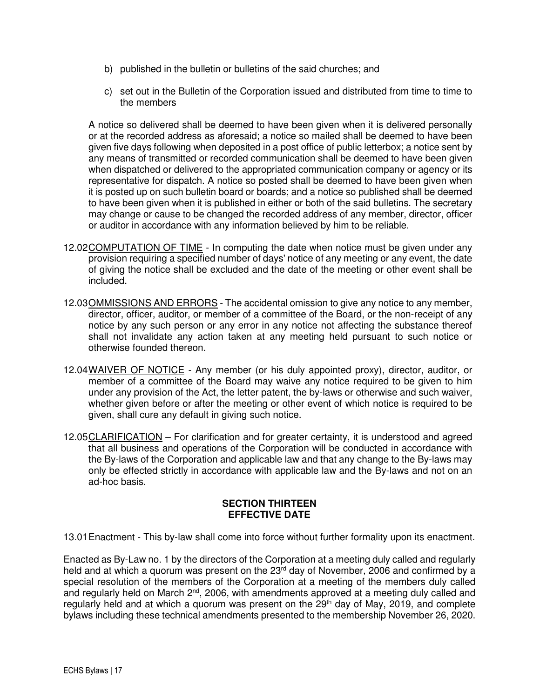- b) published in the bulletin or bulletins of the said churches; and
- c) set out in the Bulletin of the Corporation issued and distributed from time to time to the members

A notice so delivered shall be deemed to have been given when it is delivered personally or at the recorded address as aforesaid; a notice so mailed shall be deemed to have been given five days following when deposited in a post office of public letterbox; a notice sent by any means of transmitted or recorded communication shall be deemed to have been given when dispatched or delivered to the appropriated communication company or agency or its representative for dispatch. A notice so posted shall be deemed to have been given when it is posted up on such bulletin board or boards; and a notice so published shall be deemed to have been given when it is published in either or both of the said bulletins. The secretary may change or cause to be changed the recorded address of any member, director, officer or auditor in accordance with any information believed by him to be reliable.

- 12.02 COMPUTATION OF TIME In computing the date when notice must be given under any provision requiring a specified number of days' notice of any meeting or any event, the date of giving the notice shall be excluded and the date of the meeting or other event shall be included.
- 12.03 OMMISSIONS AND ERRORS The accidental omission to give any notice to any member, director, officer, auditor, or member of a committee of the Board, or the non-receipt of any notice by any such person or any error in any notice not affecting the substance thereof shall not invalidate any action taken at any meeting held pursuant to such notice or otherwise founded thereon.
- 12.04 WAIVER OF NOTICE Any member (or his duly appointed proxy), director, auditor, or member of a committee of the Board may waive any notice required to be given to him under any provision of the Act, the letter patent, the by-laws or otherwise and such waiver, whether given before or after the meeting or other event of which notice is required to be given, shall cure any default in giving such notice.
- 12.05 CLARIFICATION For clarification and for greater certainty, it is understood and agreed that all business and operations of the Corporation will be conducted in accordance with the By-laws of the Corporation and applicable law and that any change to the By-laws may only be effected strictly in accordance with applicable law and the By-laws and not on an ad-hoc basis.

### **SECTION THIRTEEN EFFECTIVE DATE**

13.01 Enactment - This by-law shall come into force without further formality upon its enactment.

Enacted as By-Law no. 1 by the directors of the Corporation at a meeting duly called and regularly held and at which a quorum was present on the 23<sup>rd</sup> day of November, 2006 and confirmed by a special resolution of the members of the Corporation at a meeting of the members duly called and regularly held on March 2<sup>nd</sup>, 2006, with amendments approved at a meeting duly called and regularly held and at which a quorum was present on the  $29<sup>th</sup>$  day of May, 2019, and complete bylaws including these technical amendments presented to the membership November 26, 2020.